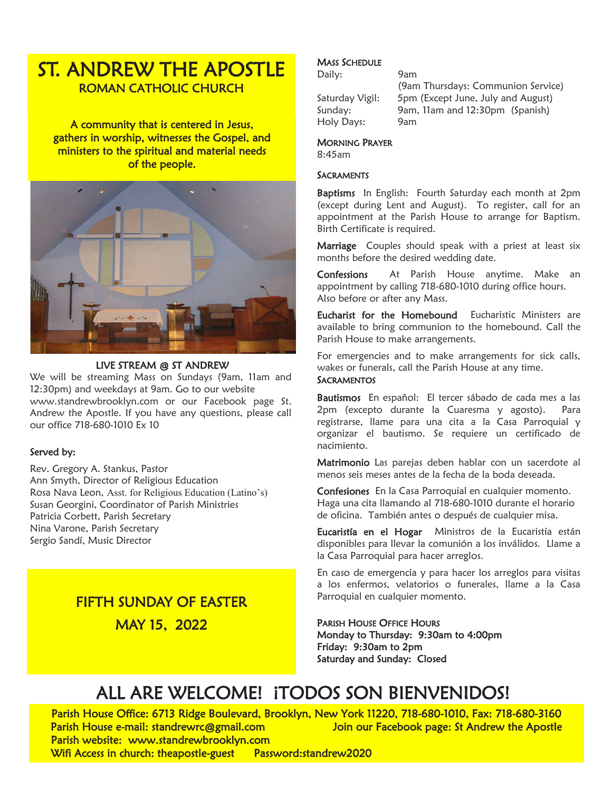# ST. ANDREW THE APOSTLE ROMAN CATHOLIC CHURCH

A community that is centered in Jesus, gathers in worship, witnesses the Gospel, and ministers to the spiritual and material needs of the people.



#### LIVE STREAM @ ST ANDREW

We will be streaming Mass on Sundays (9am, 11am and 12:30pm) and weekdays at 9am. Go to our website www.standrewbrooklyn.com or our Facebook page St. Andrew the Apostle. If you have any questions, please call our office 718-680-1010 Ex 10

#### Served by:

Rev. Gregory A. Stankus, Pastor Ann Smyth, Director of Religious Education Rosa Nava Leon, Asst. for Religious Education (Latino's) Susan Georgini, Coordinator of Parish Ministries Patricia Corbett, Parish Secretary Nina Varone, Parish Secretary Sergio Sandí, Music Director

## FIFTH SUNDAY OF EASTER

MAY 15, 2022

#### **MASS SCHEDULE**

Daily: 9am

(9am Thursdays: Communion Service) Saturday Vigil: 5pm (Except June, July and August) Sunday: 9am, 11am and 12:30pm (Spanish) Holy Days: 9am

#### MORNING PRAYER

8:45am

#### **SACRAMENTS**

Baptisms In English: Fourth Saturday each month at 2pm (except during Lent and August). To register, call for an appointment at the Parish House to arrange for Baptism. Birth Certificate is required.

Marriage Couples should speak with a priest at least six months before the desired wedding date.

Confessions At Parish House anytime. Make an appointment by calling 718-680-1010 during office hours. Also before or after any Mass.

Eucharist for the Homebound Eucharistic Ministers are available to bring communion to the homebound. Call the Parish House to make arrangements.

For emergencies and to make arrangements for sick calls, wakes or funerals, call the Parish House at any time. **SACRAMENTOS** 

Bautismos En español: El tercer sábado de cada mes a las 2pm (excepto durante la Cuaresma y agosto). Para registrarse, llame para una cita a la Casa Parroquial y organizar el bautismo. Se requiere un certificado de nacimiento.

Matrimonio Las parejas deben hablar con un sacerdote al menos seis meses antes de la fecha de la boda deseada.

Confesiones En la Casa Parroquial en cualquier momento. Haga una cita llamando al 718-680-1010 durante el horario de oficina. También antes o después de cualquier misa.

Eucaristía en el Hogar Ministros de la Eucaristía están disponibles para llevar la comunión a los inválidos. Llame a la Casa Parroquial para hacer arreglos.

En caso de emergencia y para hacer los arreglos para visitas a los enfermos, velatorios o funerales, llame a la Casa Parroquial en cualquier momento.

PARISH HOUSE OFFICE HOURS Monday to Thursday: 9:30am to 4:00pm Friday: 9:30am to 2pm Saturday and Sunday: Closed

# ALL ARE WELCOME! ¡TODOS SON BIENVENIDOS!

Parish House Office: 6713 Ridge Boulevard, Brooklyn, New York 11220, 718-680-1010, Fax: 718-680-3160 Parish House e-mail: standrewrc@gmail.com Join our Facebook page: St Andrew the Apostle Parish website: www.standrewbrooklyn.com

Wifi Access in church: theapostle-guest Password:standrew2020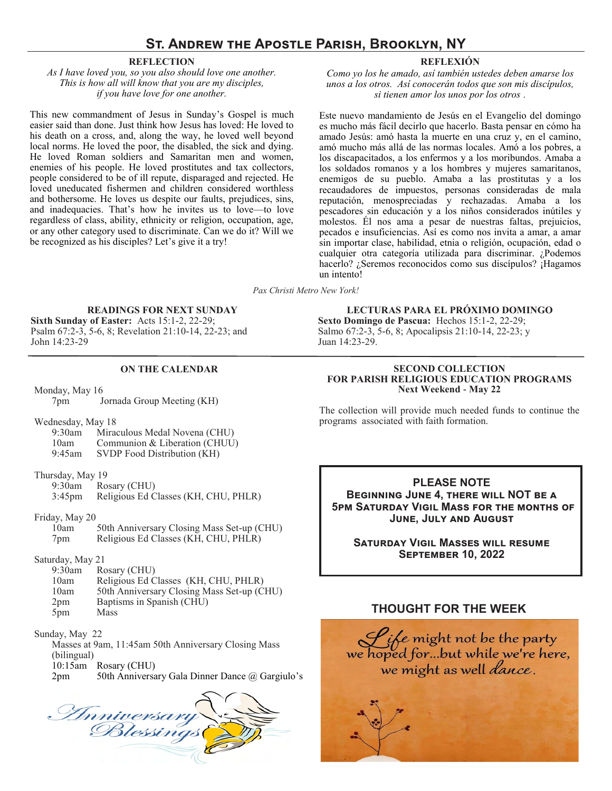### **St. Andrew the Apostle Parish, Brooklyn, NY**

#### **REFLECTION**

*As I have loved you, so you also should love one another. This is how all will know that you are my disciples, if you have love for one another.*

This new commandment of Jesus in Sunday's Gospel is much easier said than done. Just think how Jesus has loved: He loved to his death on a cross, and, along the way, he loved well beyond local norms. He loved the poor, the disabled, the sick and dying. He loved Roman soldiers and Samaritan men and women, enemies of his people. He loved prostitutes and tax collectors, people considered to be of ill repute, disparaged and rejected. He loved uneducated fishermen and children considered worthless and bothersome. He loves us despite our faults, prejudices, sins, and inadequacies. That's how he invites us to love—to love regardless of class, ability, ethnicity or religion, occupation, age, or any other category used to discriminate. Can we do it? Will we be recognized as his disciples? Let's give it a try!

#### **REFLEXIÓN**

*Como yo los he amado, así también ustedes deben amarse los unos a los otros. Así conocerán todos que son mis discípulos, si tienen amor los unos por los otros .*

Este nuevo mandamiento de Jesús en el Evangelio del domingo es mucho más fácil decirlo que hacerlo. Basta pensar en cómo ha amado Jesús: amó hasta la muerte en una cruz y, en el camino, amó mucho más allá de las normas locales. Amó a los pobres, a los discapacitados, a los enfermos y a los moribundos. Amaba a los soldados romanos y a los hombres y mujeres samaritanos, enemigos de su pueblo. Amaba a las prostitutas y a los recaudadores de impuestos, personas consideradas de mala reputación, menospreciadas y rechazadas. Amaba a los pescadores sin educación y a los niños considerados inútiles y molestos. Él nos ama a pesar de nuestras faltas, prejuicios, pecados e insuficiencias. Así es como nos invita a amar, a amar sin importar clase, habilidad, etnia o religión, ocupación, edad o cualquier otra categoría utilizada para discriminar. ¿Podemos hacerlo? ¿Seremos reconocidos como sus discípulos? ¡Hagamos un intento!

*Pax Christi Metro New York!*

#### **READINGS FOR NEXT SUNDAY**

**Sixth Sunday of Easter:** Acts 15:1-2, 22-29; Psalm 67:2-3, 5-6, 8; Revelation 21:10-14, 22-23; and John 14:23-29

#### **ON THE CALENDAR**

Monday, May 16 7pm Jornada Group Meeting (KH)

Wednesday, May 18

9:30am Miraculous Medal Novena (CHU) 10am Communion & Liberation (CHUU) 9:45am SVDP Food Distribution (KH)

Thursday, May 19

9:30am Rosary (CHU)

- 3:45pm Religious Ed Classes (KH, CHU, PHLR)
- Friday, May 20
	- 10am 50th Anniversary Closing Mass Set-up (CHU) 7pm Religious Ed Classes (KH, CHU, PHLR)
- Saturday, May 21
	- Rosary (CHU)
	- 10am Religious Ed Classes (KH, CHU, PHLR)
	- 10am 50th Anniversary Closing Mass Set-up (CHU)
	- 2pm Baptisms in Spanish (CHU)
	- 5pm Mass
- Sunday, May 22

Masses at 9am, 11:45am 50th Anniversary Closing Mass (bilingual) 10:15am Rosary (CHU) 2pm 50th Anniversary Gala Dinner Dance @ Gargiulo's

Inniversary

**LECTURAS PARA EL PRÓXIMO DOMINGO Sexto Domingo de Pascua:** Hechos 15:1-2, 22-29; Salmo 67:2-3, 5-6, 8; Apocalipsis 21:10-14, 22-23; y Juan 14:23-29.

#### **SECOND COLLECTION FOR PARISH RELIGIOUS EDUCATION PROGRAMS Next Weekend - May 22**

The collection will provide much needed funds to continue the programs associated with faith formation.

**PLEASE NOTE Beginning June 4, there will NOT be a 5pm Saturday Vigil Mass for the months of June, July and August**

**Saturday Vigil Masses will resume September 10, 2022**

#### **THOUGHT FOR THE WEEK**

Life might not be the party<br>we hoped for...but while we're here,<br>we might as well *dance*.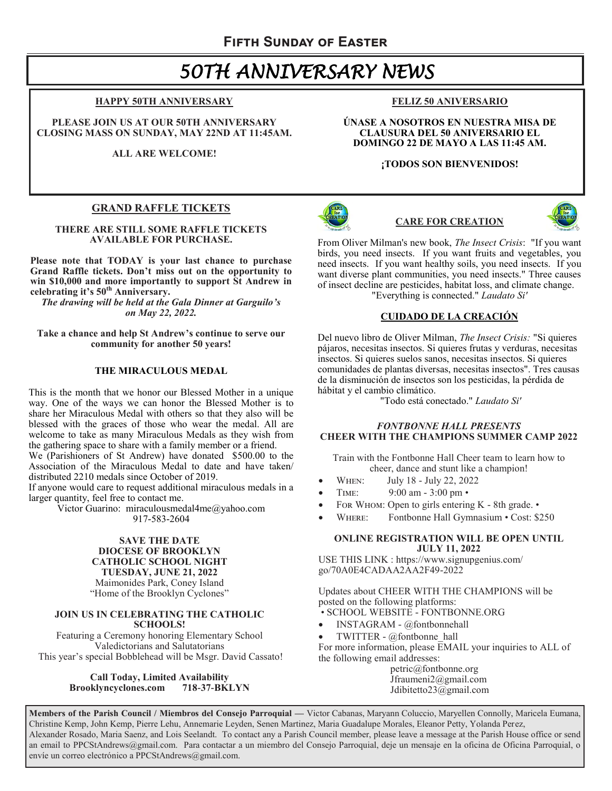# *50TH ANNIVERSARY NEWS*

#### **HAPPY 50TH ANNIVERSARY**

**PLEASE JOIN US AT OUR 50TH ANNIVERSARY CLOSING MASS ON SUNDAY, MAY 22ND AT 11:45AM.**

**ALL ARE WELCOME!** 

#### **GRAND RAFFLE TICKETS**

**THERE ARE STILL SOME RAFFLE TICKETS AVAILABLE FOR PURCHASE.** 

**Please note that TODAY is your last chance to purchase Grand Raffle tickets. Don't miss out on the opportunity to win \$10,000 and more importantly to support St Andrew in celebrating it's 50th Anniversary.** 

*The drawing will be held at the Gala Dinner at Garguilo's on May 22, 2022.* 

**Take a chance and help St Andrew's continue to serve our community for another 50 years!**

#### **THE MIRACULOUS MEDAL**

This is the month that we honor our Blessed Mother in a unique way. One of the ways we can honor the Blessed Mother is to share her Miraculous Medal with others so that they also will be blessed with the graces of those who wear the medal. All are welcome to take as many Miraculous Medals as they wish from the gathering space to share with a family member or a friend.

We (Parishioners of St Andrew) have donated \$500.00 to the Association of the Miraculous Medal to date and have taken/ distributed 2210 medals since October of 2019.

If anyone would care to request additional miraculous medals in a larger quantity, feel free to contact me.

Victor Guarino: miraculousmedal4me@yahoo.com 917-583-2604

#### **SAVE THE DATE DIOCESE OF BROOKLYN CATHOLIC SCHOOL NIGHT TUESDAY, JUNE 21, 2022** Maimonides Park, Coney Island "Home of the Brooklyn Cyclones"

#### **JOIN US IN CELEBRATING THE CATHOLIC SCHOOLS!**

Featuring a Ceremony honoring Elementary School Valedictorians and Salutatorians This year's special Bobblehead will be Msgr. David Cassato!

> **Call Today, Limited Availability Brooklyncyclones.com 718-37-BKLYN**

#### **FELIZ 50 ANIVERSARIO**

**ÚNASE A NOSOTROS EN NUESTRA MISA DE CLAUSURA DEL 50 ANIVERSARIO EL DOMINGO 22 DE MAYO A LAS 11:45 AM.**

#### **¡TODOS SON BIENVENIDOS!**



#### **CARE FOR CREATION**



From Oliver Milman's new book, *The Insect Crisis*: "If you want birds, you need insects. If you want fruits and vegetables, you need insects. If you want healthy soils, you need insects. If you want diverse plant communities, you need insects." Three causes of insect decline are pesticides, habitat loss, and climate change. "Everything is connected." *Laudato Si'*

#### **CUIDADO DE LA CREACIÓN**

Del nuevo libro de Oliver Milman, *The Insect Crisis:* "Si quieres pájaros, necesitas insectos. Si quieres frutas y verduras, necesitas insectos. Si quieres suelos sanos, necesitas insectos. Si quieres comunidades de plantas diversas, necesitas insectos". Tres causas de la disminución de insectos son los pesticidas, la pérdida de hábitat y el cambio climático.

"Todo está conectado." *Laudato Si'*

#### *FONTBONNE HALL PRESENTS* **CHEER WITH THE CHAMPIONS SUMMER CAMP 2022**

Train with the Fontbonne Hall Cheer team to learn how to cheer, dance and stunt like a champion!

- When: July 18 July 22, 2022
- Time: 9:00 am 3:00 pm •
- For Whom: Open to girls entering K 8th grade. •
- WHERE: Fontbonne Hall Gymnasium Cost: \$250

#### **ONLINE REGISTRATION WILL BE OPEN UNTIL JULY 11, 2022**

USE THIS LINK : https://www.signupgenius.com/ go/70A0E4CADAA2AA2F49-2022

Updates about CHEER WITH THE CHAMPIONS will be posted on the following platforms:

• SCHOOL WEBSITE - FONTBONNE.ORG

- INSTAGRAM @fontbonnehall
- TWITTER @fontbonne\_hall

For more information, please EMAIL your inquiries to ALL of the following email addresses:

petric@fontbonne.org Jfraumeni2@gmail.com Jdibitetto23@gmail.com

**Members of the Parish Council / Miembros del Consejo Parroquial —** Victor Cabanas, Maryann Coluccio, Maryellen Connolly, Maricela Eumana, Christine Kemp, John Kemp, Pierre Lehu, Annemarie Leyden, Senen Martinez, Maria Guadalupe Morales, Eleanor Petty, Yolanda Perez, Alexander Rosado, Maria Saenz, and Lois Seelandt. To contact any a Parish Council member, please leave a message at the Parish House office or send an email to PPCStAndrews@gmail.com. Para contactar a un miembro del Consejo Parroquial, deje un mensaje en la oficina de Oficina Parroquial, o envíe un correo electrónico a PPCStAndrews@gmail.com.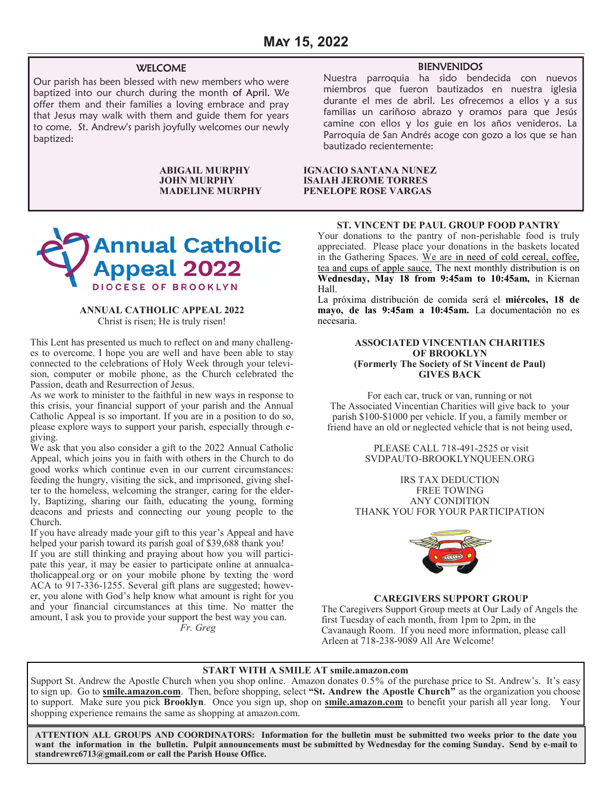#### WELCOME

Our parish has been blessed with new members who were baptized into our church during the month of April. We offer them and their families a loving embrace and pray that Jesus may walk with them and guide them for years to come. St. Andrew's parish joyfully welcomes our newly baptized:



#### **ANNUAL CATHOLIC APPEAL 2022** Christ is risen; He is truly risen!

This Lent has presented us much to reflect on and many challenges to overcome. I hope you are well and have been able to stay connected to the celebrations of Holy Week through your television, computer or mobile phone, as the Church celebrated the Passion, death and Resurrection of Jesus.

As we work to minister to the faithful in new ways in response to this crisis, your financial support of your parish and the Annual Catholic Appeal is so important. If you are in a position to do so, please explore ways to support your parish, especially through egiving.

We ask that you also consider a gift to the 2022 Annual Catholic Appeal, which joins you in faith with others in the Church to do good works which continue even in our current circumstances: feeding the hungry, visiting the sick, and imprisoned, giving shelter to the homeless, welcoming the stranger, caring for the elderly, Baptizing, sharing our faith, educating the young, forming deacons and priests and connecting our young people to the Church.

If you have already made your gift to this year's Appeal and have helped your parish toward its parish goal of \$39,688 thank you!

If you are still thinking and praying about how you will participate this year, it may be easier to participate online at annualcatholicappeal.org or on your mobile phone by texting the word ACA to 917-336-1255. Several gift plans are suggested; however, you alone with God's help know what amount is right for you and your financial circumstances at this time. No matter the amount, I ask you to provide your support the best way you can.

*Fr. Greg*

#### BIENVENIDOS

Nuestra parroquia ha sido bendecida con nuevos miembros que fueron bautizados en nuestra iglesia durante el mes de abril. Les ofrecemos a ellos y a sus familias un cariñoso abrazo y oramos para que Jesús camine con ellos y los guie en los años venideros. La Parroquia de San Andrés acoge con gozo a los que se han bautizado recientemente:

#### **ABIGAIL MURPHY IGNACIO SANTANA NUNEZ JOHN MURPHY ISAIAH JEROME TORRES PENELOPE ROSE VARGAS**

#### **ST. VINCENT DE PAUL GROUP FOOD PANTRY**

Your donations to the pantry of non-perishable food is truly appreciated. Please place your donations in the baskets located in the Gathering Spaces. We are in need of cold cereal, coffee, tea and cups of apple sauce. The next monthly distribution is on **Wednesday, May 18 from 9:45am to 10:45am,** in Kiernan Hall.

La próxima distribución de comida será el **miércoles, 18 de mayo, de las 9:45am a 10:45am.** La documentación no es necesaria.

#### **ASSOCIATED VINCENTIAN CHARITIES OF BROOKLYN (Formerly The Society of St Vincent de Paul) GIVES BACK**

For each car, truck or van, running or not The Associated Vincentian Charities will give back to your parish \$100-\$1000 per vehicle. If you, a family member or friend have an old or neglected vehicle that is not being used,

> PLEASE CALL 718-491-2525 or visit SVDPAUTO-BROOKLYNQUEEN.ORG

IRS TAX DEDUCTION FREE TOWING ANY CONDITION THANK YOU FOR YOUR PARTICIPATION



#### **CAREGIVERS SUPPORT GROUP**

The Caregivers Support Group meets at Our Lady of Angels the first Tuesday of each month, from 1pm to 2pm, in the Cavanaugh Room. If you need more information, please call Arleen at 718-238-9089 All Are Welcome!

#### **START WITH A SMILE AT smile.amazon.com**

Support St. Andrew the Apostle Church when you shop online. Amazon donates 0.5% of the purchase price to St. Andrew's. It's easy to sign up. Go to **smile.amazon.com**. Then, before shopping, select **"St. Andrew the Apostle Church"** as the organization you choose to support. Make sure you pick **Brooklyn**. Once you sign up, shop on **smile.amazon.com** to benefit your parish all year long. Your shopping experience remains the same as shopping at amazon.com.

**ATTENTION ALL GROUPS AND COORDINATORS: Information for the bulletin must be submitted two weeks prior to the date you want the information in the bulletin. Pulpit announcements must be submitted by Wednesday for the coming Sunday. Send by e-mail to [standrewrc6713@gmail.com](mailto:standrewrc@gmail.com) or call the Parish House Office.**